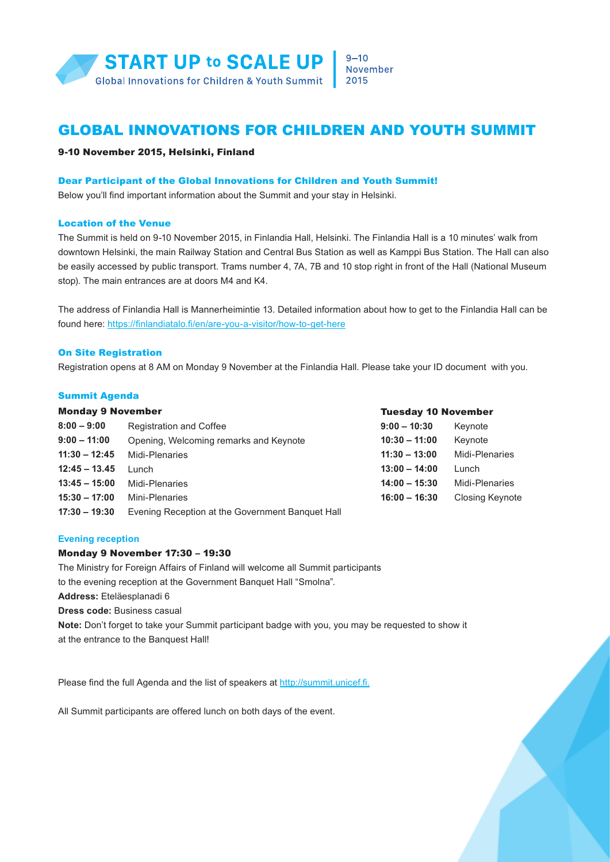

#### $9 - 10$ November 2015

# GLOBAL INNOVATIONS FOR CHILDREN AND YOUTH SUMMIT

## 9-10 November 2015, Helsinki, Finland

## Dear Participant of the Global Innovations for Children and Youth Summit!

Below you'll find important information about the Summit and your stay in Helsinki.

#### Location of the Venue

The Summit is held on 9-10 November 2015, in Finlandia Hall, Helsinki. The Finlandia Hall is a 10 minutes' walk from downtown Helsinki, the main Railway Station and Central Bus Station as well as Kamppi Bus Station. The Hall can also be easily accessed by public transport. Trams number 4, 7A, 7B and 10 stop right in front of the Hall (National Museum stop). The main entrances are at doors M4 and K4.

The address of Finlandia Hall is Mannerheimintie 13. Detailed information about how to get to the Finlandia Hall can be found here: <https://finlandiatalo.fi/en/are-you-a-visitor/how-to-get-here>

#### On Site Registration

Registration opens at 8 AM on Monday 9 November at the Finlandia Hall. Please take your ID document with you.

#### Summit Agenda

| <b>Monday 9 November</b> |                                                  | <b>Tuesday 10 November</b> |                        |
|--------------------------|--------------------------------------------------|----------------------------|------------------------|
| $8:00 - 9:00$            | <b>Registration and Coffee</b>                   | $9:00 - 10:30$             | Keynote                |
| $9:00 - 11:00$           | Opening, Welcoming remarks and Keynote           | $10:30 - 11:00$            | Keynote                |
| $11:30 - 12:45$          | Midi-Plenaries                                   | $11:30 - 13:00$            | Midi-Plenaries         |
| $12:45 - 13.45$          | Lunch                                            | $13:00 - 14:00$            | Lunch                  |
| $13:45 - 15:00$          | Midi-Plenaries                                   | $14:00 - 15:30$            | Midi-Plenaries         |
| $15:30 - 17:00$          | Mini-Plenaries                                   | $16:00 - 16:30$            | <b>Closing Keynote</b> |
| $17:30 - 19:30$          | Evening Reception at the Government Banquet Hall |                            |                        |

## **Evening reception**

## Monday 9 November 17:30 – 19:30

The Ministry for Foreign Affairs of Finland will welcome all Summit participants to the evening reception at the Government Banquet Hall "Smolna". **Address:** Eteläesplanadi 6 **Dress code:** Business casual **Note:** Don't forget to take your Summit participant badge with you, you may be requested to show it at the entrance to the Banquest Hall!

Please find the full Agenda and the list of speakers at <http://summit.unicef.fi>.

All Summit participants are offered lunch on both days of the event.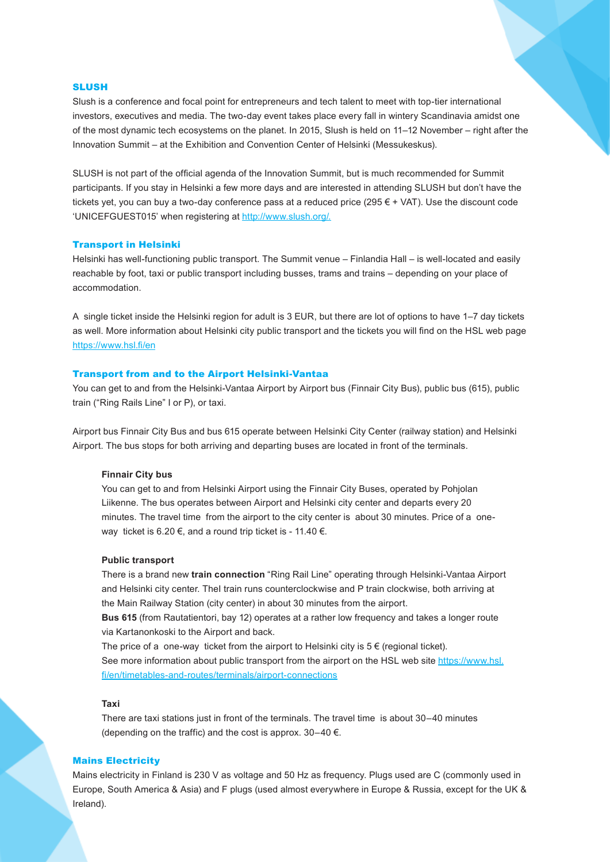## SLUSH

Slush is a conference and focal point for entrepreneurs and tech talent to meet with top-tier international investors, executives and media. The two-day event takes place every fall in wintery Scandinavia amidst one of the most dynamic tech ecosystems on the planet. In 2015, Slush is held on 11–12 November – right after the Innovation Summit – at the Exhibition and Convention Center of Helsinki (Messukeskus).

SLUSH is not part of the official agenda of the Innovation Summit, but is much recommended for Summit participants. If you stay in Helsinki a few more days and are interested in attending SLUSH but don't have the tickets yet, you can buy a two-day conference pass at a reduced price (295 € + VAT). Use the discount code 'UNICEFGUEST015' when registering at [http://www.slush.org/.](http://www.slush.org/)

#### Transport in Helsinki

Helsinki has well-functioning public transport. The Summit venue – Finlandia Hall – is well-located and easily reachable by foot, taxi or public transport including busses, trams and trains – depending on your place of accommodation.

A single ticket inside the Helsinki region for adult is 3 EUR, but there are lot of options to have 1–7 day tickets as well. More information about Helsinki city public transport and the tickets you will find on the HSL web page https://www.hsl.fi/en

#### Transport from and to the Airport Helsinki-Vantaa

You can get to and from the Helsinki-Vantaa Airport by Airport bus (Finnair City Bus), public bus (615), public train ("Ring Rails Line" I or P), or taxi.

Airport bus [Finnair City Bus](http://www.finnair.com/INT/GB/information-services/at-the-airport/transportation) and bus 615 operate between Helsinki City Center (railway station) and Helsinki Airport. The bus stops for both arriving and departing buses are located in front of the terminals.

#### **Finnair City bus**

You can get to and from Helsinki Airport using the Finnair City Buses, operated by Pohjolan Liikenne. The bus operates between Airport and Helsinki city center and departs every 20 minutes. The travel time from the airport to the city center is about 30 minutes. Price of a oneway ticket is 6.20  $\epsilon$ , and a round trip ticket is - 11.40  $\epsilon$ .

#### **Public transport**

There is a brand new **train connection** "Ring Rail Line" operating through Helsinki-Vantaa Airport and Helsinki city center. TheI train runs counterclockwise and P train clockwise, both arriving at the Main Railway Station (city center) in about 30 minutes from the airport.

**Bus [615](https://www.hsl.fi/sites/default/files/uploads/615_10082015alk.pdf)** (from Rautatientori, bay 12) operates at a rather low frequency and takes a longer route via Kartanonkoski to the Airport and back.

The price of a one-way ticket from the airport to Helsinki city is  $5 \in$  (regional ticket). See more information about public transport from the airport on the HSL web site https://www.hsl. fi/en/timetables-and-routes/terminals/airport-connections

#### **Taxi**

There are taxi stations just in front of the terminals. The travel time is about 30–40 minutes (depending on the traffic) and the cost is approx.  $30-40 \in$ .

#### Mains Electricity

Mains electricity in Finland is 230 V as voltage and 50 Hz as frequency. Plugs used are C (commonly used in Europe, South America & Asia) and F plugs (used almost everywhere in Europe & Russia, except for the UK & Ireland).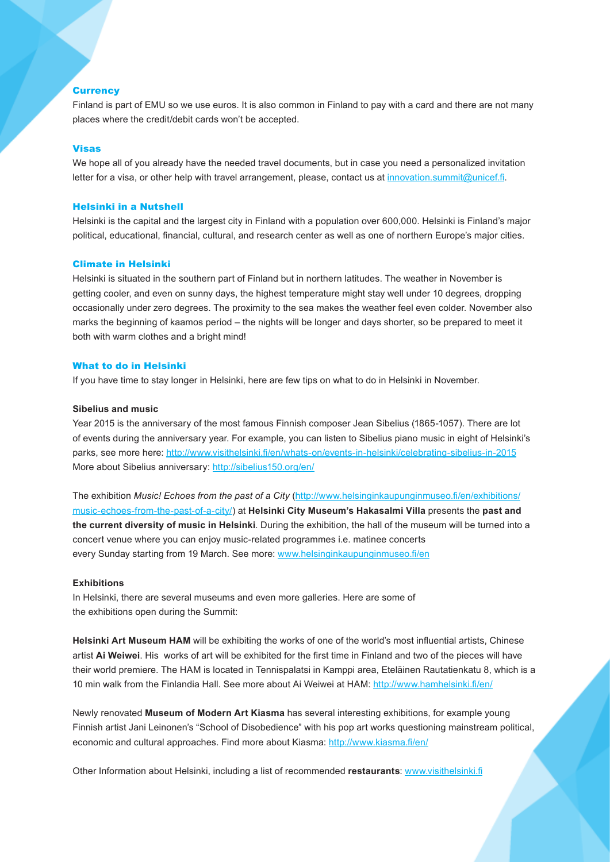#### **Currency**

Finland is part of EMU so we use euros. It is also common in Finland to pay with a card and there are not many places where the credit/debit cards won't be accepted.

#### Visas

We hope all of you already have the needed travel documents, but in case you need a personalized invitation letter for a visa, or other help with travel arrangement, please, contact us at [innovation.summit@unicef.fi](mailto:innovation.summit@unicef.fi).

#### Helsinki in a Nutshell

Helsinki is the capital and the largest city in Finland with a population over 600,000. Helsinki is Finland's major political, educational, financial, cultural, and research center as well as one of northern Europe's major cities.

## Climate in Helsinki

Helsinki is situated in the southern part of Finland but in northern latitudes. The weather in November is getting cooler, and even on sunny days, the highest temperature might stay well under 10 degrees, dropping occasionally under zero degrees. The proximity to the sea makes the weather feel even colder. November also marks the beginning of kaamos period – the nights will be longer and days shorter, so be prepared to meet it both with warm clothes and a bright mind!

## What to do in Helsinki

If you have time to stay longer in Helsinki, here are few tips on what to do in Helsinki in November.

#### **Sibelius and music**

Year 2015 is the anniversary of the most famous Finnish composer Jean Sibelius (1865-1057). There are lot of events during the anniversary year. For example, you can listen to Sibelius piano music in eight of Helsinki's parks, see more [here](http://www.visithelsinki.fi/en/whats-on/events-in-helsinki/celebrating-sibelius-in-2015): http://www.visithelsinki.fi/en/whats-on/events-in-helsinki/celebrating-sibelius-in-2015 More about Sibelius anniversary: http://sibelius150.org/en/

The exhibition *[Music! Echoes from the past of a City](http://www.helsinginkaupunginmuseo.fi/en/exhibitions/music-echoes-from-the-past-of-a-city/)* (http://www.helsinginkaupunginmuseo.fi/en/exhibitions/ music-echoes-from-the-past-of-a-city/) at **Helsinki City Museum's Hakasalmi Villa** presents the **past and the current diversity of music in Helsinki**. During the exhibition, the hall of the museum will be turned into a concert venue where you can enjoy music-related programmes i.e. matinee concerts every Sunday starting from 19 March. See more: [www.helsinginkaupunginmuseo.fi/en](http://www.helsinginkaupunginmuseo.fi/en/exhibitions/music-echoes-from-the-past-of-a-city/)

#### **Exhibitions**

In Helsinki, there are several museums and even more galleries. Here are some of the exhibitions open during the Summit:

**Helsinki Art Museum HAM** will be exhibiting the works of one of the world's most influential artists, Chinese artist **Ai Weiwei**. His works of art will be exhibited for the first time in Finland and two of the pieces will have their world premiere. The HAM is located in Tennispalatsi in Kamppi area, Eteläinen Rautatienkatu 8, which is a 10 min walk from the Finlandia Hall. See more about Ai Weiwei a[t HAM](http://www.hamhelsinki.fi/en/): http://www.hamhelsinki.fi/en/

Newly renovated **Museum of Modern Art Kiasma** has several interesting exhibitions, for example young Finnish artist Jani Leinonen's "School of Disobedience" with his pop art works questioning mainstream political, economic and cultural approaches. Find more about [Kiasma:](http://www.kiasma.fi/en/) http://www.kiasma.fi/en/

Other Information about Helsinki, including a list of recommended **restaurants**: [www.visithelsinki.fi](http://www.visithelsinki.fi/en)